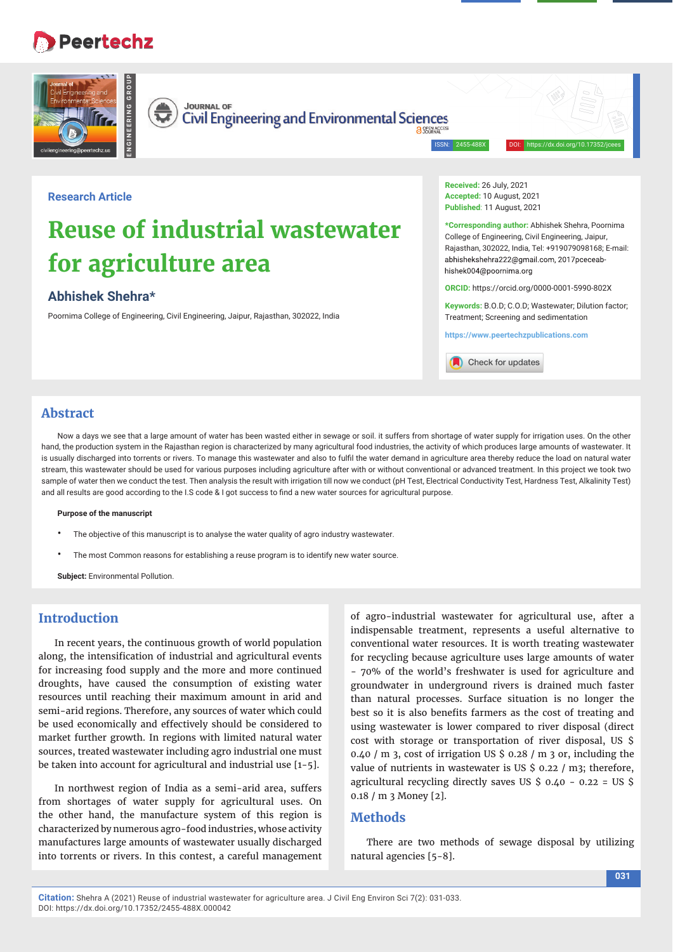# **Peertechz**



**Received:** 26 July, 2021 **Accepted:** 10 August, 2021 **Published**: 11 August, 2021

**Reuse of industrial wastewater for agriculture area**

# **Abhishek Shehra\***

**Research Article**

Poornima College of Engineering, Civil Engineering, Jaipur, Rajasthan, 302022, India

**\*Corresponding author:** Abhishek Shehra, Poornima College of Engineering, Civil Engineering, Jaipur, Rajasthan, 302022, India, Tel: +919079098168; E-mail: abhishekshehra222@gmail.com, 2017pceceabhishek004@noornima.org

**ORCID:** https://orcid.org/0000-0001-5990-802X

**Keywords:** B.O.D; C.O.D; Wastewater; Dilution factor; Treatment; Screening and sedimentation

**https://www.peertechzpublications.com**



# **Abstract**

Now a days we see that a large amount of water has been wasted either in sewage or soil, it suffers from shortage of water supply for irrigation uses. On the other hand, the production system in the Rajasthan region is characterized by many agricultural food industries, the activity of which produces large amounts of wastewater. It is usually discharged into torrents or rivers. To manage this wastewater and also to fulfil the water demand in agriculture area thereby reduce the load on natural water stream, this wastewater should be used for various purposes including agriculture after with or without conventional or advanced treatment. In this project we took two sample of water then we conduct the test. Then analysis the result with irrigation till now we conduct (pH Test, Electrical Conductivity Test, Hardness Test, Alkalinity Test) and all results are good according to the I.S code & I got success to find a new water sources for agricultural purpose.

**Purpose of the manuscript** 

- The objective of this manuscript is to analyse the water quality of agro industry wastewater.
- The most Common reasons for establishing a reuse program is to identify new water source.

**Subject:** Environmental Pollution.

# **Introduction**

In recent years, the continuous growth of world population along, the intensification of industrial and agricultural events for increasing food supply and the more and more continued droughts, have caused the consumption of existing water resources until reaching their maximum amount in arid and semi-arid regions. Therefore, any sources of water which could be used economically and effectively should be considered to market further growth. In regions with limited natural water sources, treated wastewater including agro industrial one must be taken into account for agricultural and industrial use [1-5].

In northwest region of India as a semi-arid area, suffers from shortages of water supply for agricultural uses. On the other hand, the manufacture system of this region is characterized by numerous agro-food industries, whose activity manufactures large amounts of wastewater usually discharged into torrents or rivers. In this contest, a careful management of agro-industrial wastewater for agricultural use, after a indispensable treatment, represents a useful alternative to conventional water resources. It is worth treating wastewater for recycling because agriculture uses large amounts of water - 70% of the world's freshwater is used for agriculture and groundwater in underground rivers is drained much faster than natural processes. Surface situation is no longer the best so it is also benefits farmers as the cost of treating and using wastewater is lower compared to river disposal (direct cost with storage or transportation of river disposal, US \$ 0.40 / m 3, cost of irrigation US  $\frac{1}{2}$  0.28 / m 3 or, including the value of nutrients in wastewater is US \$ 0.22 / m3; therefore, agricultural recycling directly saves US  $\frac{6}{5}$  0.40 - 0.22 = US  $\frac{6}{5}$ 0.18 / m 3 Money [2].

# **Methods**

There are two methods of sewage disposal by utilizing natural agencies [5-8].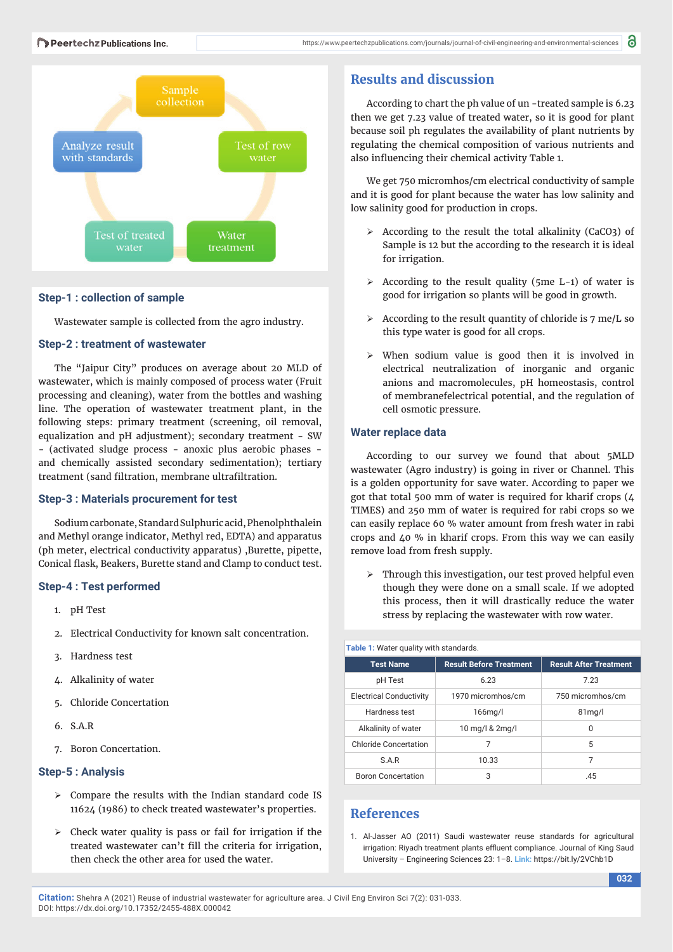

### **Step-1 : collection of sample**

Wastewater sample is collected from the agro industry.

#### **Step-2 : treatment of wastewater**

The "Jaipur City" produces on average about 20 MLD of wastewater, which is mainly composed of process water (Fruit processing and cleaning), water from the bottles and washing line. The operation of wastewater treatment plant, in the following steps: primary treatment (screening, oil removal, equalization and pH adjustment); secondary treatment - SW - (activated sludge process - anoxic plus aerobic phases and chemically assisted secondary sedimentation); tertiary treatment (sand filtration, membrane ultrafiltration.

## **Step-3 : Materials procurement for test**

Sodium carbonate, Standard Sulphuric acid, Phenolphthalein and Methyl orange indicator, Methyl red, EDTA) and apparatus (ph meter, electrical conductivity apparatus) ,Burette, pipette, Conical flask, Beakers, Burette stand and Clamp to conduct test.

#### **Step-4 : Test performed**

- 1. pH Test
- 2. Electrical Conductivity for known salt concentration.
- 3. Hardness test
- 4. Alkalinity of water
- 5. Chloride Concertation
- 6. S.A.R
- 7. Boron Concertation.

# **Step-5 : Analysis**

- $\triangleright$  Compare the results with the Indian standard code IS 11624 (1986) to check treated wastewater's properties.
- $\triangleright$  Check water quality is pass or fail for irrigation if the treated wastewater can't fill the criteria for irrigation, then check the other area for used the water.

# **Results and discussion**

According to chart the ph value of un -treated sample is 6.23 then we get 7.23 value of treated water, so it is good for plant because soil ph regulates the availability of plant nutrients by regulating the chemical composition of various nutrients and also influencing their chemical activity Table 1.

We get 750 micromhos/cm electrical conductivity of sample and it is good for plant because the water has low salinity and low salinity good for production in crops.

- $\triangleright$  According to the result the total alkalinity (CaCO3) of Sample is 12 but the according to the research it is ideal for irrigation.
- $\geq$  According to the result quality (5me L-1) of water is good for irrigation so plants will be good in growth.
- $\triangleright$  According to the result quantity of chloride is 7 me/L so this type water is good for all crops.
- $\triangleright$  When sodium value is good then it is involved in electrical neutralization of inorganic and organic anions and macromolecules, pH homeostasis, control of membranefelectrical potential, and the regulation of cell osmotic pressure.

#### **Water replace data**

According to our survey we found that about 5MLD wastewater (Agro industry) is going in river or Channel. This is a golden opportunity for save water. According to paper we got that total 500 mm of water is required for kharif crops (4 TIMES) and 250 mm of water is required for rabi crops so we can easily replace 60 % water amount from fresh water in rabi crops and 40 % in kharif crops. From this way we can easily remove load from fresh supply.

 $\triangleright$  Through this investigation, our test proved helpful even though they were done on a small scale. If we adopted this process, then it will drastically reduce the water stress by replacing the wastewater with row water.

| Table 1: Water quality with standards. |                                |                               |
|----------------------------------------|--------------------------------|-------------------------------|
| <b>Test Name</b>                       | <b>Result Before Treatment</b> | <b>Result After Treatment</b> |
| pH Test                                | 6.23                           | 7.23                          |
| <b>Electrical Conductivity</b>         | 1970 micromhos/cm              | 750 micromhos/cm              |
| Hardness test                          | $166$ mg/l                     | 81 <sub>mq</sub> /I           |
| Alkalinity of water                    | 10 mg/l & 2mg/l                | 0                             |
| <b>Chloride Concertation</b>           | 7                              | 5                             |
| S.A.R                                  | 10.33                          | 7                             |
| <b>Boron Concertation</b>              | 3                              | .45                           |

# **References**

1. Al-Jasser AO (2011) Saudi wastewater reuse standards for agricultural irrigation: Riyadh treatment plants effluent compliance. Journal of King Saud University – Engineering Sciences 23: 1–8. **Link:** https://bit.ly/2VChb1D

**Citation:** Shehra A (2021) Reuse of industrial wastewater for agriculture area. J Civil Eng Environ Sci 7(2): 031-033. DOI: https://dx.doi.org/10.17352/2455-488X.000042

**032**